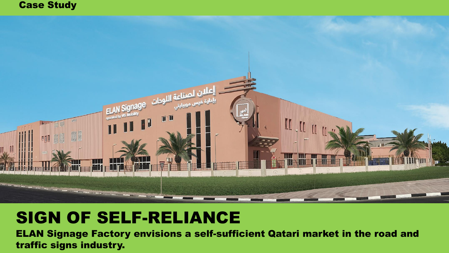#### Case Study



#### SIGN OF SELF-RELIANCE

ELAN Signage Factory envisions a self-sufficient Qatari market in the road and traffic signs industry.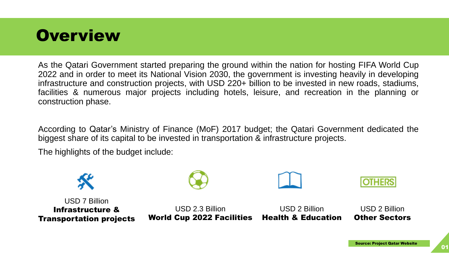### **Overview**

As the Qatari Government started preparing the ground within the nation for hosting FIFA World Cup 2022 and in order to meet its National Vision 2030, the government is investing heavily in developing infrastructure and construction projects, with USD 220+ billion to be invested in new roads, stadiums, facilities & numerous major projects including hotels, leisure, and recreation in the planning or construction phase.

According to Qatar's Ministry of Finance (MoF) 2017 budget; the Qatari Government dedicated the biggest share of its capital to be invested in transportation & infrastructure projects.

The highlights of the budget include:

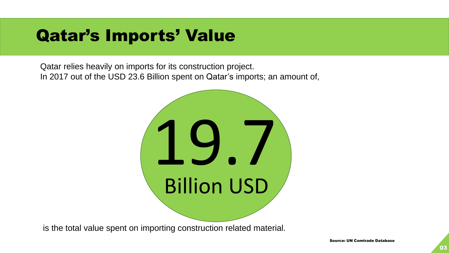### Qatar's Imports' Value

Qatar relies heavily on imports for its construction project. In 2017 out of the USD 23.6 Billion spent on Qatar's imports; an amount of,



is the total value spent on importing construction related material.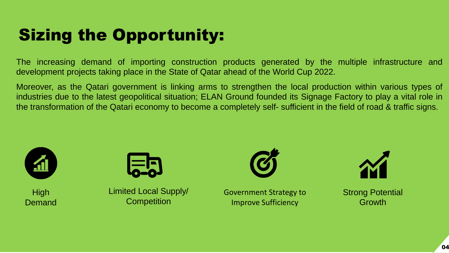# Sizing the Opportunity:

The increasing demand of importing construction products generated by the multiple infrastructure and development projects taking place in the State of Qatar ahead of the World Cup 2022.

Moreover, as the Qatari government is linking arms to strengthen the local production within various types of industries due to the latest geopolitical situation; ELAN Ground founded its Signage Factory to play a vital role in the transformation of the Qatari economy to become a completely self- sufficient in the field of road & traffic signs.



**High** Demand



Limited Local Supply/ **Competition** 

Government Strategy to Improve Sufficiency



Strong Potential Growth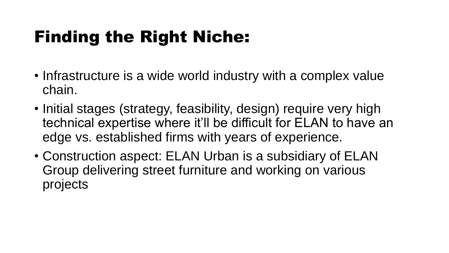# Finding the Right Niche:

- Infrastructure is a wide world industry with a complex value chain.
- Initial stages (strategy, feasibility, design) require very high technical expertise where it'll be difficult for ELAN to have an edge vs. established firms with years of experience.
- Construction aspect: ELAN Urban is a subsidiary of ELAN Group delivering street furniture and working on various projects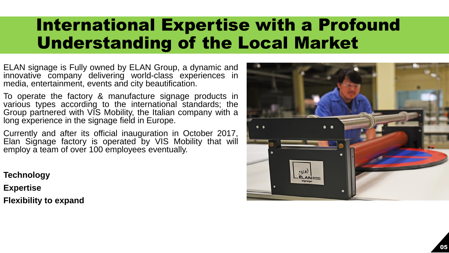## International Expertise with a Profound Understanding of the Local Market

ELAN signage is Fully owned by ELAN Group, a dynamic and innovative company delivering world-class experiences in media, entertainment, events and city beautification.

To operate the factory & manufacture signage products in various types according to the international standards; the Group partnered with VIS Mobility, the Italian company with a long experience in the signage field in Europe.

Currently and after its official inauguration in October 2017, Elan Signage factory is operated by VIS Mobility that will employ a team of over 100 employees eventually.

**Technology**

**Expertise**

**Flexibility to expand**

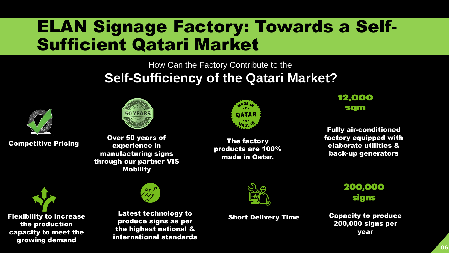## ELAN Signage Factory: Towards a Self-Sufficient Qatari Market

#### How Can the Factory Contribute to the **Self-Sufficiency of the Qatari Market?**



Competitive Pricing



Over 50 years of experience in manufacturing signs through our partner VIS Mobility



The factory products are 100% made in Qatar.

#### 12,000 sqm

Fully air-conditioned factory equipped with elaborate utilities & back-up generators

Flexibility to increase the production capacity to meet the growing demand



Latest technology to **Short Delivery Time** produce signs as per the highest national & international standards



200,000 **signs** 

Capacity to produce 200,000 signs per year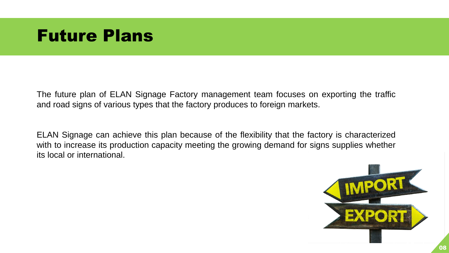#### Future Plans

The future plan of ELAN Signage Factory management team focuses on exporting the traffic and road signs of various types that the factory produces to foreign markets.

ELAN Signage can achieve this plan because of the flexibility that the factory is characterized with to increase its production capacity meeting the growing demand for signs supplies whether its local or international.